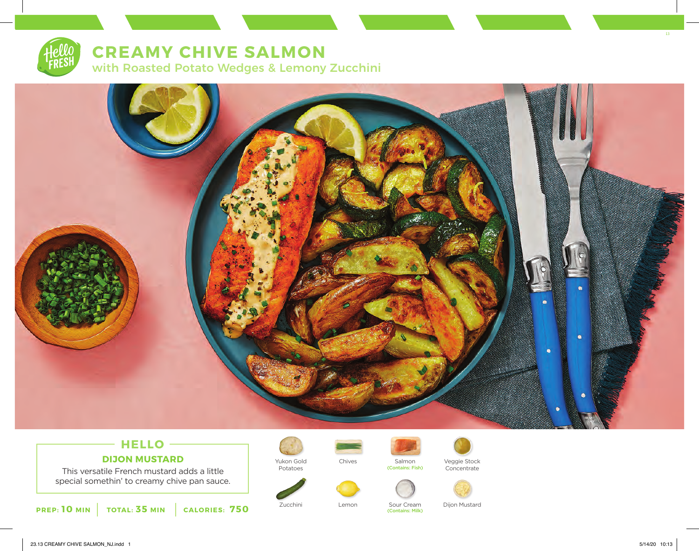# **CREAMY CHIVE SALMON**

with Roasted Potato Wedges & Lemony Zucchini



## **HELLO DIJON MUSTARD**

This versatile French mustard adds a little special somethin' to creamy chive pan sauce.





Potatoes



Chives Salmon<br>
(Contains: Fish)



Veggie Stock Concentrate



(Contains: Milk)

Zucchini Lemon Sour Cream Dijon Mustard

13